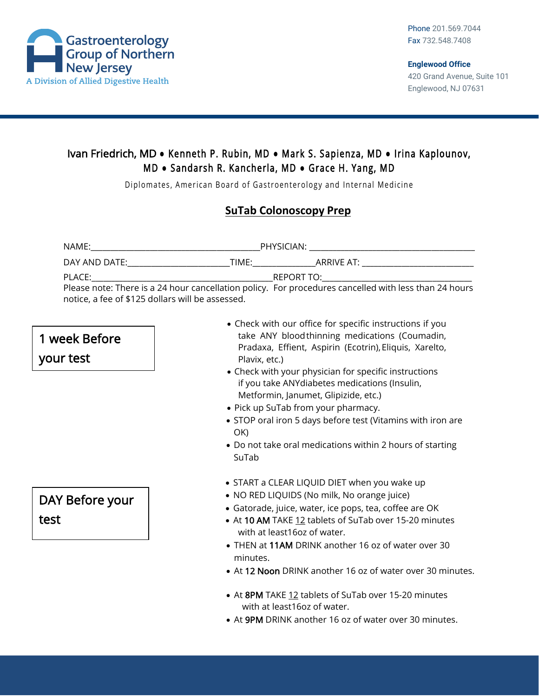

## Ivan Friedrich, MD **●** Kenneth P. Rubin, MD **●** Mark S. Sapienza, MD **●** Irina Kaplounov, M D **●** Sandarsh R. Kancherla, MD **●** Grace H. Yang, MD

Diplomates, American Board of Gastroenterology and Internal Medicine

## **SuTab Colonoscopy Prep**

| NAME:                                                                                                          | PHYSICIAN: The contract of the contract of the contract of the contract of the contract of the contract of the                |
|----------------------------------------------------------------------------------------------------------------|-------------------------------------------------------------------------------------------------------------------------------|
| DAY AND DATE: THE STATE OF THE STATE OF THE STATE OF THE STATE OF THE STATE OF THE STATE OF THE STATE OF THE S | TIME: TIME:<br>ARRIVE AT: ARRIVE AT AND A STRINGER AT A STRINGER AT A STRINGER AT A STRINGER AT A STRINGER AT A STRINGER AT A |
| PLACE:                                                                                                         | REPORT TO: A PARTICULARY CONTROLLER CONTROLLER CONTROLLER CONTROLLER CONTROLLER CONTROLLER CONTROLLER CONTROLL                |
|                                                                                                                | Please note: There is a 24 hour cancellation policy. For procedures cancelled with less than 24 hours                         |
| notice, a fee of \$125 dollars will be assessed.                                                               |                                                                                                                               |

## 1 week Before your test

DAY Before your test

- Check with our office for specific instructions if you take ANY bloodthinning medications (Coumadin, Pradaxa, Effient, Aspirin (Ecotrin), Eliquis, Xarelto, Plavix, etc.)
- Check with your physician for specific instructions if you take ANYdiabetes medications (Insulin, Metformin, Janumet, Glipizide, etc.)
- Pick up SuTab from your pharmacy.
- STOP oral iron 5 days before test (Vitamins with iron are OK)
- Do not take oral medications within 2 hours of starting SuTab
- START a CLEAR LIQUID DIET when you wake up
- NO RED LIQUIDS (No milk, No orange juice)
- Gatorade, juice, water, ice pops, tea, coffee are OK
- At 10 AM TAKE 12 tablets of SuTab over 15-20 minutes with at least16oz of water.
- THEN at 11AM DRINK another 16 oz of water over 30 minutes.
- At 12 Noon DRINK another 16 oz of water over 30 minutes.
- At 8PM TAKE 12 tablets of SuTab over 15-20 minutes with at least16oz of water.
- At 9PM DRINK another 16 oz of water over 30 minutes.